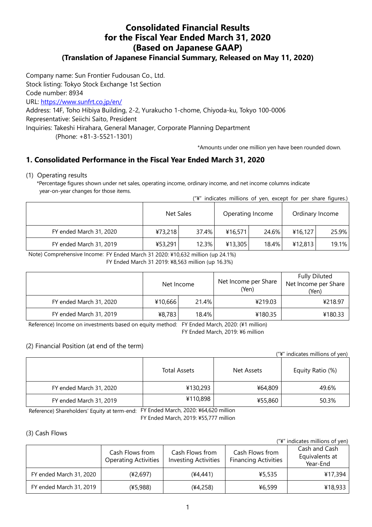# **Consolidated Financial Results for the Fiscal Year Ended March 31, 2020 (Based on Japanese GAAP)**

# **(Translation of Japanese Financial Summary, Released on May 11, 2020)**

Company name: Sun Frontier Fudousan Co., Ltd.

Stock listing: Tokyo Stock Exchange 1st Section

Code number: 8934

URL:<https://www.sunfrt.co.jp/en/>

Address: 14F, Toho Hibiya Building, 2-2, Yurakucho 1-chome, Chiyoda-ku, Tokyo 100-0006

Representative: Seiichi Saito, President

Inquiries: Takeshi Hirahara, General Manager, Corporate Planning Department

(Phone: +81-3-5521-1301)

\*Amounts under one million yen have been rounded down.

# **1. Consolidated Performance in the Fiscal Year Ended March 31, 2020**

#### (1) Operating results

\*Percentage figures shown under net sales, operating income, ordinary income, and net income columns indicate year-on-year changes for those items.

|  | ("¥" indicates millions of yen, except for per share figures.) |  |  |  |  |  |  |  |  |  |
|--|----------------------------------------------------------------|--|--|--|--|--|--|--|--|--|
|--|----------------------------------------------------------------|--|--|--|--|--|--|--|--|--|

|                         | Net Sales |       | Operating Income |       | Ordinary Income |       |  |
|-------------------------|-----------|-------|------------------|-------|-----------------|-------|--|
| FY ended March 31, 2020 | ¥73,218   | 37.4% | ¥16,571          | 24.6% | 416, 127        | 25.9% |  |
| FY ended March 31, 2019 | ¥53,291   | 12.3% | ¥13,305          | 18.4% | 412,813         | 19.1% |  |

Note) Comprehensive Income: FY Ended March 31 2020: ¥10,632 million (up 24.1%)

FY Ended March 31 2019: ¥8,563 million (up 16.3%)

|                         | Net Income |       | Net Income per Share<br>(Yen) | <b>Fully Diluted</b><br>Net Income per Share<br>(Yen) |  |
|-------------------------|------------|-------|-------------------------------|-------------------------------------------------------|--|
| FY ended March 31, 2020 | ¥10,666    | 21.4% | ¥219.03                       | ¥218.97                                               |  |
| FY ended March 31, 2019 | ¥8,783     | 18.4% | ¥180.35                       | ¥180.33                                               |  |

Reference) Income on investments based on equity method: FY Ended March, 2020: (¥1 million)

FY Ended March, 2019: ¥6 million

#### (2) Financial Position (at end of the term)

| ("\" indicates millions of yen) |  |
|---------------------------------|--|
|---------------------------------|--|

|                         | <b>Total Assets</b> | Net Assets | Equity Ratio (%) |
|-------------------------|---------------------|------------|------------------|
| FY ended March 31, 2020 | ¥130,293            | ¥64,809    | 49.6%            |
| FY ended March 31, 2019 | ¥110,898            | ¥55,860    | 50.3%            |

Reference) Shareholders' Equity at term-end: FY Ended March, 2020: ¥64,620 million

FY Ended March, 2019: ¥55,777 million

#### (3) Cash Flows

("¥" indicates millions of yen)

|                         | Cash Flows from<br><b>Operating Activities</b> | Cash Flows from<br><b>Investing Activities</b> | Cash Flows from<br><b>Financing Activities</b> | Cash and Cash<br>Equivalents at<br>Year-End |
|-------------------------|------------------------------------------------|------------------------------------------------|------------------------------------------------|---------------------------------------------|
| FY ended March 31, 2020 | (42.697)                                       | (44.441)                                       | ¥5,535                                         | ¥17,394                                     |
| FY ended March 31, 2019 | (¥5,988)                                       | (¥4,258)                                       | ¥6,599                                         | ¥18,933                                     |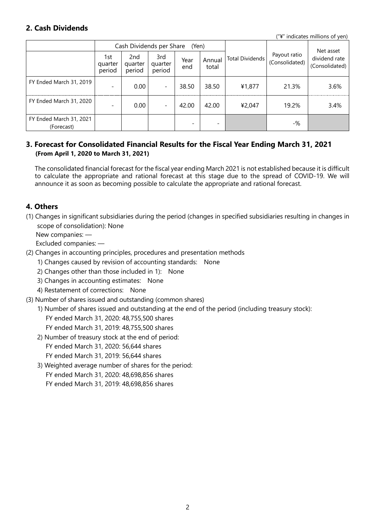### **2. Cash Dividends**

("¥" indicates millions of yen)

|                                       |                          | Cash Dividends per Share             |                          | (Yen)       |                          |                 | Net asset                      |                                 |
|---------------------------------------|--------------------------|--------------------------------------|--------------------------|-------------|--------------------------|-----------------|--------------------------------|---------------------------------|
|                                       | 1st<br>quarter<br>period | 2 <sub>nd</sub><br>quarter<br>period | 3rd<br>quarter<br>period | Year<br>end | Annual<br>total          | Total Dividends | Payout ratio<br>(Consolidated) | dividend rate<br>(Consolidated) |
| FY Ended March 31, 2019               |                          | 0.00                                 | $\overline{\phantom{a}}$ | 38.50       | 38.50                    | ¥1,877          | 21.3%                          | 3.6%                            |
| FY Ended March 31, 2020               |                          | 0.00                                 | $\overline{\phantom{a}}$ | 42.00       | 42.00                    | ¥2,047          | 19.2%                          | 3.4%                            |
| FY Ended March 31, 2021<br>(Forecast) |                          |                                      |                          |             | $\overline{\phantom{a}}$ |                 | -%                             |                                 |

#### **3. Forecast for Consolidated Financial Results for the Fiscal Year Ending March 31, 2021 (From April 1, 2020 to March 31, 2021)**

The consolidated financial forecast for the fiscal year ending March 2021 is not established because it is difficult to calculate the appropriate and rational forecast at this stage due to the spread of COVID-19. We will announce it as soon as becoming possible to calculate the appropriate and rational forecast.

### **4. Others**

(1) Changes in significant subsidiaries during the period (changes in specified subsidiaries resulting in changes in scope of consolidation): None

New companies: —

Excluded companies: —

- (2) Changes in accounting principles, procedures and presentation methods
	- 1) Changes caused by revision of accounting standards: None
	- 2) Changes other than those included in 1): None
	- 3) Changes in accounting estimates: None
	- 4) Restatement of corrections: None
- (3) Number of shares issued and outstanding (common shares)
	- 1) Number of shares issued and outstanding at the end of the period (including treasury stock): FY ended March 31, 2020: 48,755,500 shares FY ended March 31, 2019: 48,755,500 shares
	- 2) Number of treasury stock at the end of period: FY ended March 31, 2020: 56,644 shares FY ended March 31, 2019: 56,644 shares
	- 3) Weighted average number of shares for the period: FY ended March 31, 2020: 48,698,856 shares

FY ended March 31, 2019: 48,698,856 shares